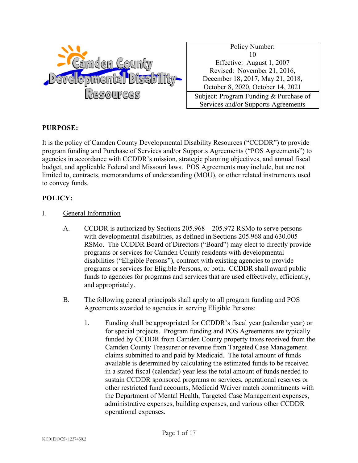

Policy Number: 10 Effective: August 1, 2007 Revised: November 21, 2016, December 18, 2017, May 21, 2018, October 8, 2020, October 14, 2021 Subject: Program Funding & Purchase of

Services and/or Supports Agreements

### **PURPOSE:**

It is the policy of Camden County Developmental Disability Resources ("CCDDR") to provide program funding and Purchase of Services and/or Supports Agreements ("POS Agreements") to agencies in accordance with CCDDR's mission, strategic planning objectives, and annual fiscal budget, and applicable Federal and Missouri laws. POS Agreements may include, but are not limited to, contracts, memorandums of understanding (MOU), or other related instruments used to convey funds.

## **POLICY:**

- I. General Information
	- A. CCDDR is authorized by Sections 205.968 205.972 RSMo to serve persons with developmental disabilities, as defined in Sections 205.968 and 630.005 RSMo. The CCDDR Board of Directors ("Board") may elect to directly provide programs or services for Camden County residents with developmental disabilities ("Eligible Persons"), contract with existing agencies to provide programs or services for Eligible Persons, or both. CCDDR shall award public funds to agencies for programs and services that are used effectively, efficiently, and appropriately.
	- B. The following general principals shall apply to all program funding and POS Agreements awarded to agencies in serving Eligible Persons:
		- 1. Funding shall be appropriated for CCDDR's fiscal year (calendar year) or for special projects. Program funding and POS Agreements are typically funded by CCDDR from Camden County property taxes received from the Camden County Treasurer or revenue from Targeted Case Management claims submitted to and paid by Medicaid. The total amount of funds available is determined by calculating the estimated funds to be received in a stated fiscal (calendar) year less the total amount of funds needed to sustain CCDDR sponsored programs or services, operational reserves or other restricted fund accounts, Medicaid Waiver match commitments with the Department of Mental Health, Targeted Case Management expenses, administrative expenses, building expenses, and various other CCDDR operational expenses.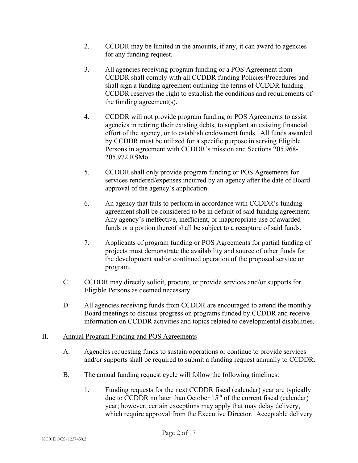- 2. CCDDR may be limited in the amounts, if any, it can award to agencies for any funding request.
- 3. All agencies receiving program funding or a POS Agreement from CCDDR shall comply with all CCDDR funding Policies/Procedures and shall sign a funding agreement outlining the terms of CCDDR funding. CCDDR reserves the right to establish the conditions and requirements of the funding agreement(s).
- 4. CCDDR will not provide program funding or POS Agreements to assist agencies in retiring their existing debts, to supplant an existing financial effort of the agency, or to establish endowment funds. All funds awarded by CCDDR must be utilized for a specific purpose in serving Eligible Persons in agreement with CCDDR's mission and Sections 205.968- 205.972 RSMo.
- 5. CCDDR shall only provide program funding or POS Agreements for services rendered/expenses incurred by an agency after the date of Board approval of the agency's application.
- 6. An agency that fails to perform in accordance with CCDDR's funding agreement shall be considered to be in default of said funding agreement. Any agency's ineffective, inefficient, or inappropriate use of awarded funds or a portion thereof shall be subject to a recapture of said funds.
- 7. Applicants of program funding or POS Agreements for partial funding of projects must demonstrate the availability and source of other funds for the development and/or continued operation of the proposed service or program.
- C. CCDDR may directly solicit, procure, or provide services and/or supports for Eligible Persons as deemed necessary.
- D. All agencies receiving funds from CCDDR are encouraged to attend the monthly Board meetings to discuss progress on programs funded by CCDDR and receive information on CCDDR activities and topics related to developmental disabilities.

# II. Annual Program Funding and POS Agreements

- A. Agencies requesting funds to sustain operations or continue to provide services and/or supports shall be required to submit a funding request annually to CCDDR.
- B. The annual funding request cycle will follow the following timelines:
	- 1. Funding requests for the next CCDDR fiscal (calendar) year are typically due to CCDDR no later than October  $15<sup>th</sup>$  of the current fiscal (calendar) year; however, certain exceptions may apply that may delay delivery, which require approval from the Executive Director. Acceptable delivery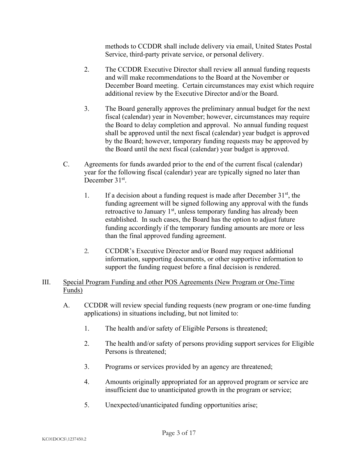methods to CCDDR shall include delivery via email, United States Postal Service, third-party private service, or personal delivery.

- 2. The CCDDR Executive Director shall review all annual funding requests and will make recommendations to the Board at the November or December Board meeting. Certain circumstances may exist which require additional review by the Executive Director and/or the Board.
- 3. The Board generally approves the preliminary annual budget for the next fiscal (calendar) year in November; however, circumstances may require the Board to delay completion and approval. No annual funding request shall be approved until the next fiscal (calendar) year budget is approved by the Board; however, temporary funding requests may be approved by the Board until the next fiscal (calendar) year budget is approved.
- C. Agreements for funds awarded prior to the end of the current fiscal (calendar) year for the following fiscal (calendar) year are typically signed no later than December 31<sup>st</sup>.
	- 1. If a decision about a funding request is made after December  $31<sup>st</sup>$ , the funding agreement will be signed following any approval with the funds retroactive to January  $1<sup>st</sup>$ , unless temporary funding has already been established. In such cases, the Board has the option to adjust future funding accordingly if the temporary funding amounts are more or less than the final approved funding agreement.
	- 2. CCDDR's Executive Director and/or Board may request additional information, supporting documents, or other supportive information to support the funding request before a final decision is rendered.

## III. Special Program Funding and other POS Agreements (New Program or One-Time Funds)

- A. CCDDR will review special funding requests (new program or one-time funding applications) in situations including, but not limited to:
	- 1. The health and/or safety of Eligible Persons is threatened;
	- 2. The health and/or safety of persons providing support services for Eligible Persons is threatened;
	- 3. Programs or services provided by an agency are threatened;
	- 4. Amounts originally appropriated for an approved program or service are insufficient due to unanticipated growth in the program or service;
	- 5. Unexpected/unanticipated funding opportunities arise;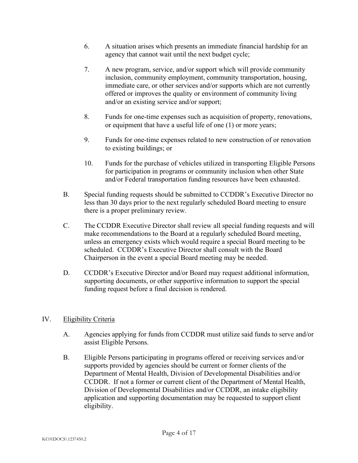- 6. A situation arises which presents an immediate financial hardship for an agency that cannot wait until the next budget cycle;
- 7. A new program, service, and/or support which will provide community inclusion, community employment, community transportation, housing, immediate care, or other services and/or supports which are not currently offered or improves the quality or environment of community living and/or an existing service and/or support;
- 8. Funds for one-time expenses such as acquisition of property, renovations, or equipment that have a useful life of one (1) or more years;
- 9. Funds for one-time expenses related to new construction of or renovation to existing buildings; or
- 10. Funds for the purchase of vehicles utilized in transporting Eligible Persons for participation in programs or community inclusion when other State and/or Federal transportation funding resources have been exhausted.
- B. Special funding requests should be submitted to CCDDR's Executive Director no less than 30 days prior to the next regularly scheduled Board meeting to ensure there is a proper preliminary review.
- C. The CCDDR Executive Director shall review all special funding requests and will make recommendations to the Board at a regularly scheduled Board meeting, unless an emergency exists which would require a special Board meeting to be scheduled. CCDDR's Executive Director shall consult with the Board Chairperson in the event a special Board meeting may be needed.
- D. CCDDR's Executive Director and/or Board may request additional information, supporting documents, or other supportive information to support the special funding request before a final decision is rendered.

# IV. Eligibility Criteria

- A. Agencies applying for funds from CCDDR must utilize said funds to serve and/or assist Eligible Persons.
- B. Eligible Persons participating in programs offered or receiving services and/or supports provided by agencies should be current or former clients of the Department of Mental Health, Division of Developmental Disabilities and/or CCDDR. If not a former or current client of the Department of Mental Health, Division of Developmental Disabilities and/or CCDDR, an intake eligibility application and supporting documentation may be requested to support client eligibility.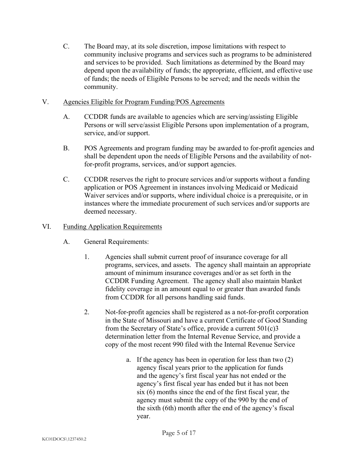C. The Board may, at its sole discretion, impose limitations with respect to community inclusive programs and services such as programs to be administered and services to be provided. Such limitations as determined by the Board may depend upon the availability of funds; the appropriate, efficient, and effective use of funds; the needs of Eligible Persons to be served; and the needs within the community.

## V. Agencies Eligible for Program Funding/POS Agreements

- A. CCDDR funds are available to agencies which are serving/assisting Eligible Persons or will serve/assist Eligible Persons upon implementation of a program, service, and/or support.
- B. POS Agreements and program funding may be awarded to for-profit agencies and shall be dependent upon the needs of Eligible Persons and the availability of notfor-profit programs, services, and/or support agencies.
- C. CCDDR reserves the right to procure services and/or supports without a funding application or POS Agreement in instances involving Medicaid or Medicaid Waiver services and/or supports, where individual choice is a prerequisite, or in instances where the immediate procurement of such services and/or supports are deemed necessary.

## VI. Funding Application Requirements

- A. General Requirements:
	- 1. Agencies shall submit current proof of insurance coverage for all programs, services, and assets. The agency shall maintain an appropriate amount of minimum insurance coverages and/or as set forth in the CCDDR Funding Agreement. The agency shall also maintain blanket fidelity coverage in an amount equal to or greater than awarded funds from CCDDR for all persons handling said funds.
	- 2. Not-for-profit agencies shall be registered as a not-for-profit corporation in the State of Missouri and have a current Certificate of Good Standing from the Secretary of State's office, provide a current  $501(c)3$ determination letter from the Internal Revenue Service, and provide a copy of the most recent 990 filed with the Internal Revenue Service
		- a. If the agency has been in operation for less than two (2) agency fiscal years prior to the application for funds and the agency's first fiscal year has not ended or the agency's first fiscal year has ended but it has not been six (6) months since the end of the first fiscal year, the agency must submit the copy of the 990 by the end of the sixth (6th) month after the end of the agency's fiscal year.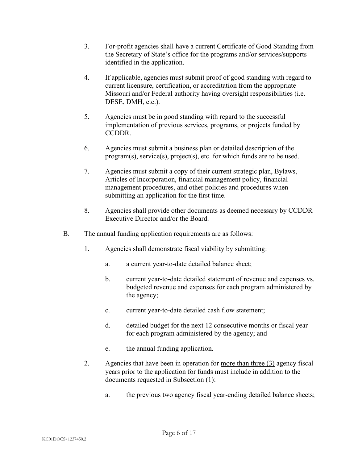- 3. For-profit agencies shall have a current Certificate of Good Standing from the Secretary of State's office for the programs and/or services/supports identified in the application.
- 4. If applicable, agencies must submit proof of good standing with regard to current licensure, certification, or accreditation from the appropriate Missouri and/or Federal authority having oversight responsibilities (i.e. DESE, DMH, etc.).
- 5. Agencies must be in good standing with regard to the successful implementation of previous services, programs, or projects funded by CCDDR.
- 6. Agencies must submit a business plan or detailed description of the program(s), service(s), project(s), etc. for which funds are to be used.
- 7. Agencies must submit a copy of their current strategic plan, Bylaws, Articles of Incorporation, financial management policy, financial management procedures, and other policies and procedures when submitting an application for the first time.
- 8. Agencies shall provide other documents as deemed necessary by CCDDR Executive Director and/or the Board.
- B. The annual funding application requirements are as follows:
	- 1. Agencies shall demonstrate fiscal viability by submitting:
		- a. a current year-to-date detailed balance sheet;
		- b. current year-to-date detailed statement of revenue and expenses vs. budgeted revenue and expenses for each program administered by the agency;
		- c. current year-to-date detailed cash flow statement;
		- d. detailed budget for the next 12 consecutive months or fiscal year for each program administered by the agency; and
		- e. the annual funding application.
	- 2. Agencies that have been in operation for more than three (3) agency fiscal years prior to the application for funds must include in addition to the documents requested in Subsection (1):
		- a. the previous two agency fiscal year-ending detailed balance sheets;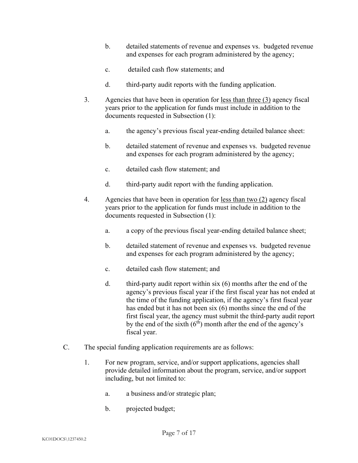- b. detailed statements of revenue and expenses vs. budgeted revenue and expenses for each program administered by the agency;
- c. detailed cash flow statements; and
- d. third-party audit reports with the funding application.
- 3. Agencies that have been in operation for less than three (3) agency fiscal years prior to the application for funds must include in addition to the documents requested in Subsection (1):
	- a. the agency's previous fiscal year-ending detailed balance sheet:
	- b. detailed statement of revenue and expenses vs. budgeted revenue and expenses for each program administered by the agency;
	- c. detailed cash flow statement; and
	- d. third-party audit report with the funding application.
- 4. Agencies that have been in operation for <u>less than two (2)</u> agency fiscal years prior to the application for funds must include in addition to the documents requested in Subsection (1):
	- a. a copy of the previous fiscal year-ending detailed balance sheet;
	- b. detailed statement of revenue and expenses vs. budgeted revenue and expenses for each program administered by the agency;
	- c. detailed cash flow statement; and
	- d. third-party audit report within six (6) months after the end of the agency's previous fiscal year if the first fiscal year has not ended at the time of the funding application, if the agency's first fiscal year has ended but it has not been six (6) months since the end of the first fiscal year, the agency must submit the third-party audit report by the end of the sixth  $(6<sup>th</sup>)$  month after the end of the agency's fiscal year.
- C. The special funding application requirements are as follows:
	- 1. For new program, service, and/or support applications, agencies shall provide detailed information about the program, service, and/or support including, but not limited to:
		- a. a business and/or strategic plan;
		- b. projected budget;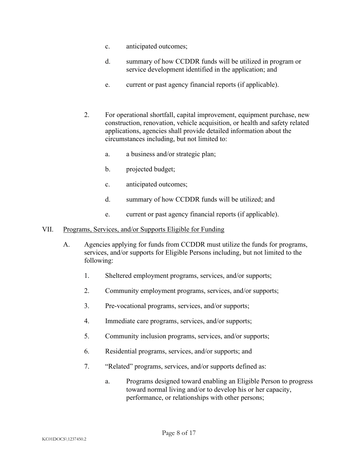- c. anticipated outcomes;
- d. summary of how CCDDR funds will be utilized in program or service development identified in the application; and
- e. current or past agency financial reports (if applicable).
- 2. For operational shortfall, capital improvement, equipment purchase, new construction, renovation, vehicle acquisition, or health and safety related applications, agencies shall provide detailed information about the circumstances including, but not limited to:
	- a. a business and/or strategic plan;
	- b. projected budget;
	- c. anticipated outcomes;
	- d. summary of how CCDDR funds will be utilized; and
	- e. current or past agency financial reports (if applicable).
- VII. Programs, Services, and/or Supports Eligible for Funding
	- A. Agencies applying for funds from CCDDR must utilize the funds for programs, services, and/or supports for Eligible Persons including, but not limited to the following:
		- 1. Sheltered employment programs, services, and/or supports;
		- 2. Community employment programs, services, and/or supports;
		- 3. Pre-vocational programs, services, and/or supports;
		- 4. Immediate care programs, services, and/or supports;
		- 5. Community inclusion programs, services, and/or supports;
		- 6. Residential programs, services, and/or supports; and
		- 7. "Related" programs, services, and/or supports defined as:
			- a. Programs designed toward enabling an Eligible Person to progress toward normal living and/or to develop his or her capacity, performance, or relationships with other persons;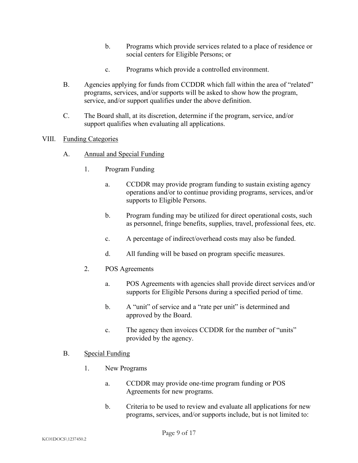- b. Programs which provide services related to a place of residence or social centers for Eligible Persons; or
- c. Programs which provide a controlled environment.
- B. Agencies applying for funds from CCDDR which fall within the area of "related" programs, services, and/or supports will be asked to show how the program, service, and/or support qualifies under the above definition.
- C. The Board shall, at its discretion, determine if the program, service, and/or support qualifies when evaluating all applications.

## VIII. Funding Categories

- A. Annual and Special Funding
	- 1. Program Funding
		- a. CCDDR may provide program funding to sustain existing agency operations and/or to continue providing programs, services, and/or supports to Eligible Persons.
		- b. Program funding may be utilized for direct operational costs, such as personnel, fringe benefits, supplies, travel, professional fees, etc.
		- c. A percentage of indirect/overhead costs may also be funded.
		- d. All funding will be based on program specific measures.
	- 2. POS Agreements
		- a. POS Agreements with agencies shall provide direct services and/or supports for Eligible Persons during a specified period of time.
		- b. A "unit" of service and a "rate per unit" is determined and approved by the Board.
		- c. The agency then invoices CCDDR for the number of "units" provided by the agency.

### B. Special Funding

- 1. New Programs
	- a. CCDDR may provide one-time program funding or POS Agreements for new programs.
	- b. Criteria to be used to review and evaluate all applications for new programs, services, and/or supports include, but is not limited to: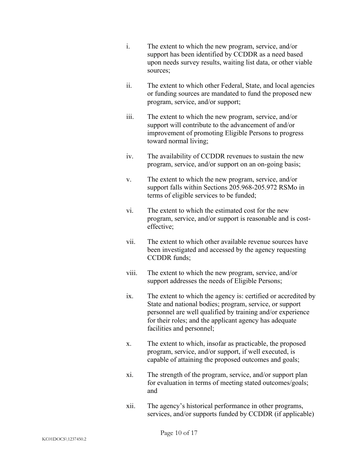- i. The extent to which the new program, service, and/or support has been identified by CCDDR as a need based upon needs survey results, waiting list data, or other viable sources;
- ii. The extent to which other Federal, State, and local agencies or funding sources are mandated to fund the proposed new program, service, and/or support;
- iii. The extent to which the new program, service, and/or support will contribute to the advancement of and/or improvement of promoting Eligible Persons to progress toward normal living;
- iv. The availability of CCDDR revenues to sustain the new program, service, and/or support on an on-going basis;
- v. The extent to which the new program, service, and/or support falls within Sections 205.968-205.972 RSMo in terms of eligible services to be funded;
- vi. The extent to which the estimated cost for the new program, service, and/or support is reasonable and is costeffective;
- vii. The extent to which other available revenue sources have been investigated and accessed by the agency requesting CCDDR funds;
- viii. The extent to which the new program, service, and/or support addresses the needs of Eligible Persons;
- ix. The extent to which the agency is: certified or accredited by State and national bodies; program, service, or support personnel are well qualified by training and/or experience for their roles; and the applicant agency has adequate facilities and personnel;
- x. The extent to which, insofar as practicable, the proposed program, service, and/or support, if well executed, is capable of attaining the proposed outcomes and goals;
- xi. The strength of the program, service, and/or support plan for evaluation in terms of meeting stated outcomes/goals; and
- xii. The agency's historical performance in other programs, services, and/or supports funded by CCDDR (if applicable)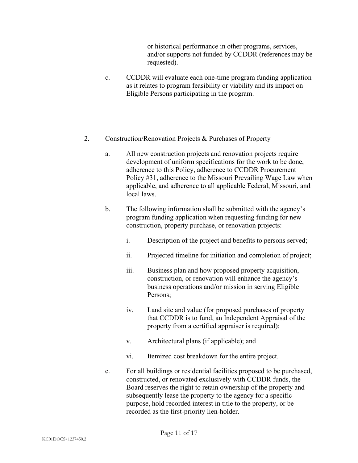or historical performance in other programs, services, and/or supports not funded by CCDDR (references may be requested).

- c. CCDDR will evaluate each one-time program funding application as it relates to program feasibility or viability and its impact on Eligible Persons participating in the program.
- 2. Construction/Renovation Projects & Purchases of Property
	- a. All new construction projects and renovation projects require development of uniform specifications for the work to be done, adherence to this Policy, adherence to CCDDR Procurement Policy #31, adherence to the Missouri Prevailing Wage Law when applicable, and adherence to all applicable Federal, Missouri, and local laws.
	- b. The following information shall be submitted with the agency's program funding application when requesting funding for new construction, property purchase, or renovation projects:
		- i. Description of the project and benefits to persons served;
		- ii. Projected timeline for initiation and completion of project;
		- iii. Business plan and how proposed property acquisition, construction, or renovation will enhance the agency's business operations and/or mission in serving Eligible Persons;
		- iv. Land site and value (for proposed purchases of property that CCDDR is to fund, an Independent Appraisal of the property from a certified appraiser is required);
		- v. Architectural plans (if applicable); and
		- vi. Itemized cost breakdown for the entire project.
	- c. For all buildings or residential facilities proposed to be purchased, constructed, or renovated exclusively with CCDDR funds, the Board reserves the right to retain ownership of the property and subsequently lease the property to the agency for a specific purpose, hold recorded interest in title to the property, or be recorded as the first-priority lien-holder.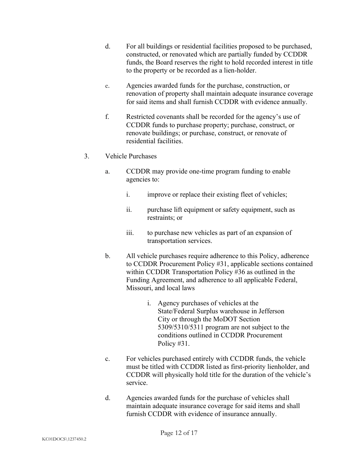- d. For all buildings or residential facilities proposed to be purchased, constructed, or renovated which are partially funded by CCDDR funds, the Board reserves the right to hold recorded interest in title to the property or be recorded as a lien-holder.
- e. Agencies awarded funds for the purchase, construction, or renovation of property shall maintain adequate insurance coverage for said items and shall furnish CCDDR with evidence annually.
- f. Restricted covenants shall be recorded for the agency's use of CCDDR funds to purchase property; purchase, construct, or renovate buildings; or purchase, construct, or renovate of residential facilities.
- 3. Vehicle Purchases
	- a. CCDDR may provide one-time program funding to enable agencies to:
		- i. improve or replace their existing fleet of vehicles;
		- ii. purchase lift equipment or safety equipment, such as restraints; or
		- iii. to purchase new vehicles as part of an expansion of transportation services.
	- b. All vehicle purchases require adherence to this Policy, adherence to CCDDR Procurement Policy #31, applicable sections contained within CCDDR Transportation Policy #36 as outlined in the Funding Agreement, and adherence to all applicable Federal, Missouri, and local laws
		- i. Agency purchases of vehicles at the State/Federal Surplus warehouse in Jefferson City or through the MoDOT Section 5309/5310/5311 program are not subject to the conditions outlined in CCDDR Procurement Policy #31.
	- c. For vehicles purchased entirely with CCDDR funds, the vehicle must be titled with CCDDR listed as first-priority lienholder, and CCDDR will physically hold title for the duration of the vehicle's service.
	- d. Agencies awarded funds for the purchase of vehicles shall maintain adequate insurance coverage for said items and shall furnish CCDDR with evidence of insurance annually.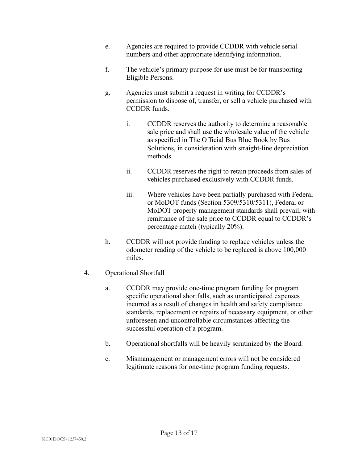- e. Agencies are required to provide CCDDR with vehicle serial numbers and other appropriate identifying information.
- f. The vehicle's primary purpose for use must be for transporting Eligible Persons.
- g. Agencies must submit a request in writing for CCDDR's permission to dispose of, transfer, or sell a vehicle purchased with CCDDR funds.
	- i. CCDDR reserves the authority to determine a reasonable sale price and shall use the wholesale value of the vehicle as specified in The Official Bus Blue Book by Bus Solutions, in consideration with straight-line depreciation methods.
	- ii. CCDDR reserves the right to retain proceeds from sales of vehicles purchased exclusively with CCDDR funds.
	- iii. Where vehicles have been partially purchased with Federal or MoDOT funds (Section 5309/5310/5311), Federal or MoDOT property management standards shall prevail, with remittance of the sale price to CCDDR equal to CCDDR's percentage match (typically 20%).
- h. CCDDR will not provide funding to replace vehicles unless the odometer reading of the vehicle to be replaced is above 100,000 miles.
- 4. Operational Shortfall
	- a. CCDDR may provide one-time program funding for program specific operational shortfalls, such as unanticipated expenses incurred as a result of changes in health and safety compliance standards, replacement or repairs of necessary equipment, or other unforeseen and uncontrollable circumstances affecting the successful operation of a program.
	- b. Operational shortfalls will be heavily scrutinized by the Board.
	- c. Mismanagement or management errors will not be considered legitimate reasons for one-time program funding requests.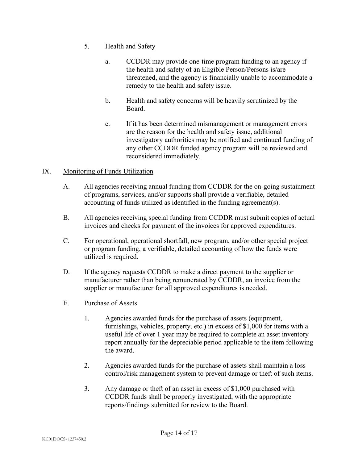- 5. Health and Safety
	- a. CCDDR may provide one-time program funding to an agency if the health and safety of an Eligible Person/Persons is/are threatened, and the agency is financially unable to accommodate a remedy to the health and safety issue.
	- b. Health and safety concerns will be heavily scrutinized by the Board.
	- c. If it has been determined mismanagement or management errors are the reason for the health and safety issue, additional investigatory authorities may be notified and continued funding of any other CCDDR funded agency program will be reviewed and reconsidered immediately.

# IX. Monitoring of Funds Utilization

- A. All agencies receiving annual funding from CCDDR for the on-going sustainment of programs, services, and/or supports shall provide a verifiable, detailed accounting of funds utilized as identified in the funding agreement(s).
- B. All agencies receiving special funding from CCDDR must submit copies of actual invoices and checks for payment of the invoices for approved expenditures.
- C. For operational, operational shortfall, new program, and/or other special project or program funding, a verifiable, detailed accounting of how the funds were utilized is required.
- D. If the agency requests CCDDR to make a direct payment to the supplier or manufacturer rather than being remunerated by CCDDR, an invoice from the supplier or manufacturer for all approved expenditures is needed.
- E. Purchase of Assets
	- 1. Agencies awarded funds for the purchase of assets (equipment, furnishings, vehicles, property, etc.) in excess of \$1,000 for items with a useful life of over 1 year may be required to complete an asset inventory report annually for the depreciable period applicable to the item following the award.
	- 2. Agencies awarded funds for the purchase of assets shall maintain a loss control/risk management system to prevent damage or theft of such items.
	- 3. Any damage or theft of an asset in excess of \$1,000 purchased with CCDDR funds shall be properly investigated, with the appropriate reports/findings submitted for review to the Board.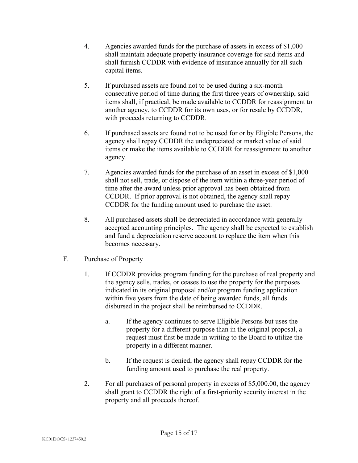- 4. Agencies awarded funds for the purchase of assets in excess of \$1,000 shall maintain adequate property insurance coverage for said items and shall furnish CCDDR with evidence of insurance annually for all such capital items.
- 5. If purchased assets are found not to be used during a six-month consecutive period of time during the first three years of ownership, said items shall, if practical, be made available to CCDDR for reassignment to another agency, to CCDDR for its own uses, or for resale by CCDDR, with proceeds returning to CCDDR.
- 6. If purchased assets are found not to be used for or by Eligible Persons, the agency shall repay CCDDR the undepreciated or market value of said items or make the items available to CCDDR for reassignment to another agency.
- 7. Agencies awarded funds for the purchase of an asset in excess of \$1,000 shall not sell, trade, or dispose of the item within a three-year period of time after the award unless prior approval has been obtained from CCDDR. If prior approval is not obtained, the agency shall repay CCDDR for the funding amount used to purchase the asset.
- 8. All purchased assets shall be depreciated in accordance with generally accepted accounting principles. The agency shall be expected to establish and fund a depreciation reserve account to replace the item when this becomes necessary.
- F. Purchase of Property
	- 1. If CCDDR provides program funding for the purchase of real property and the agency sells, trades, or ceases to use the property for the purposes indicated in its original proposal and/or program funding application within five years from the date of being awarded funds, all funds disbursed in the project shall be reimbursed to CCDDR.
		- a. If the agency continues to serve Eligible Persons but uses the property for a different purpose than in the original proposal, a request must first be made in writing to the Board to utilize the property in a different manner.
		- b. If the request is denied, the agency shall repay CCDDR for the funding amount used to purchase the real property.
	- 2. For all purchases of personal property in excess of \$5,000.00, the agency shall grant to CCDDR the right of a first-priority security interest in the property and all proceeds thereof.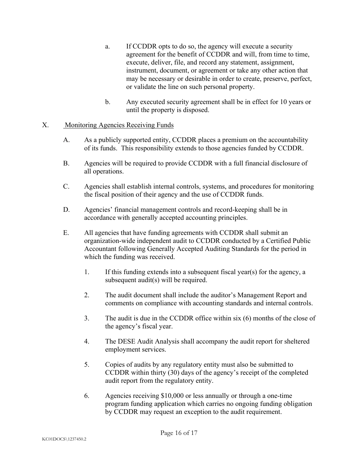- a. If CCDDR opts to do so, the agency will execute a security agreement for the benefit of CCDDR and will, from time to time, execute, deliver, file, and record any statement, assignment, instrument, document, or agreement or take any other action that may be necessary or desirable in order to create, preserve, perfect, or validate the line on such personal property.
- b. Any executed security agreement shall be in effect for 10 years or until the property is disposed.

## X. Monitoring Agencies Receiving Funds

- A. As a publicly supported entity, CCDDR places a premium on the accountability of its funds. This responsibility extends to those agencies funded by CCDDR.
- B. Agencies will be required to provide CCDDR with a full financial disclosure of all operations.
- C. Agencies shall establish internal controls, systems, and procedures for monitoring the fiscal position of their agency and the use of CCDDR funds.
- D. Agencies' financial management controls and record-keeping shall be in accordance with generally accepted accounting principles.
- E. All agencies that have funding agreements with CCDDR shall submit an organization-wide independent audit to CCDDR conducted by a Certified Public Accountant following Generally Accepted Auditing Standards for the period in which the funding was received.
	- 1. If this funding extends into a subsequent fiscal year(s) for the agency, a subsequent audit(s) will be required.
	- 2. The audit document shall include the auditor's Management Report and comments on compliance with accounting standards and internal controls.
	- 3. The audit is due in the CCDDR office within six (6) months of the close of the agency's fiscal year.
	- 4. The DESE Audit Analysis shall accompany the audit report for sheltered employment services.
	- 5. Copies of audits by any regulatory entity must also be submitted to CCDDR within thirty (30) days of the agency's receipt of the completed audit report from the regulatory entity.
	- 6. Agencies receiving \$10,000 or less annually or through a one-time program funding application which carries no ongoing funding obligation by CCDDR may request an exception to the audit requirement.